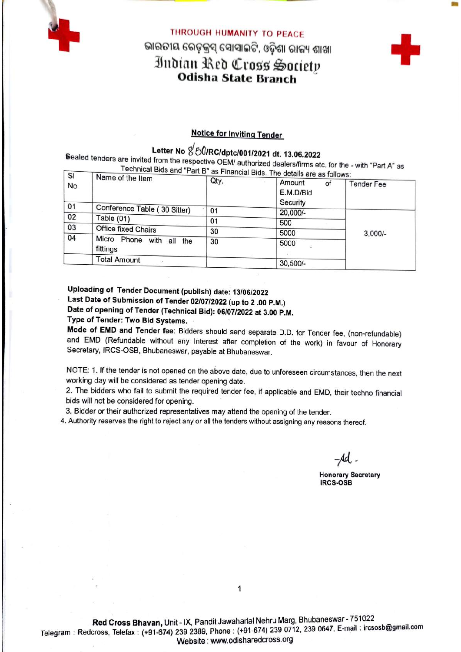

# THROUGH HUMANITY TO PEACE ଭାରତୀୟ ରେଡ଼ୁକ୍ରସ୍ ସୋସାଇଟି, ଓଡ଼ିଶା ରାଜ୍ୟ ଶାଖା Indian Red Cross Society **Odisha State Branch**



## **Notice for Inviting Tender**

# Letter No &50/RC/dptc/001/2021 dt. 13.06.2022

Sealed tenders are invited from the respective OEM/ authorized dealers/firms etc. for the - with "Part A" as Technical Bids and "Part B" as Financial Bids

| SI | Name of the Item                        | <b>Example 12 as Financial Blus. The details are as follows:</b> |              |                   |  |
|----|-----------------------------------------|------------------------------------------------------------------|--------------|-------------------|--|
| No |                                         | Qty.                                                             | Amount<br>of | <b>Tender Fee</b> |  |
|    |                                         |                                                                  | E.M.D/Bid    |                   |  |
|    |                                         |                                                                  | Security     |                   |  |
| 01 | Conference Table (30 Sitter)            | 01                                                               | 20,000/-     |                   |  |
| 02 | Table $(01)$                            | 01                                                               | 500          |                   |  |
| 03 | Office fixed Chairs                     | 30                                                               |              |                   |  |
| 04 |                                         |                                                                  | 5000         | $3,000/-$         |  |
|    | Micro Phone with all<br>the<br>fittings | 30                                                               | 5000         |                   |  |
|    | <b>Total Amount</b>                     |                                                                  | $30,500/-$   |                   |  |

Uploading of Tender Document (publish) date: 13/06/2022 Last Date of Submission of Tender 02/07/2022 (up to 2 .00 P.M.) Date of opening of Tender (Technical Bid): 06/07/2022 at 3.00 P.M. Type of Tender: Two Bid Systems.

Mode of EMD and Tender fee: Bidders should send separate D.D. for Tender fee, (non-refundable) and EMD (Refundable without any Interest after completion of the work) in favour of Honorary Secretary, IRCS-OSB, Bhubaneswar, payable at Bhubaneswar.

NOTE: 1. If the tender is not opened on the above date, due to unforeseen circumstances, then the next working day will be considered as tender opening date.

2. The bidders who fail to submit the required tender fee, if applicable and EMD, their techno financial bids will not be considered for opening.

3. Bidder or their authorized representatives may attend the opening of the tender.

4. Authority reserves the right to reject any or all the tenders without assigning any reasons thereof.

 $-$ Ad.

**Honorary Secretary IRCS-OSB**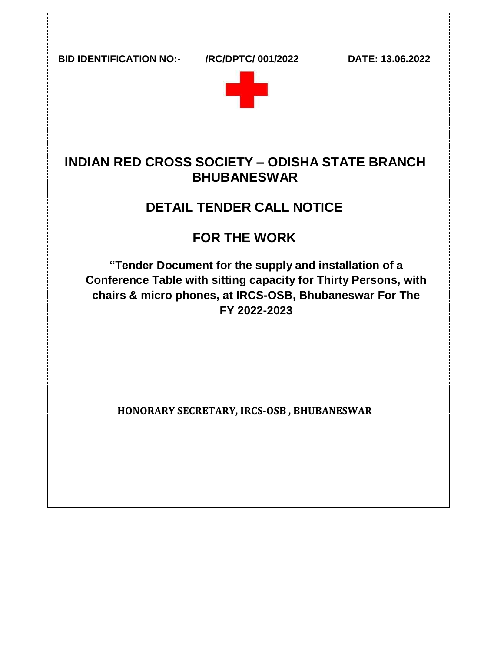**BID IDENTIFICATION NO:- /RC/DPTC/ 001/2022 DATE: 13.06.2022**



# **INDIAN RED CROSS SOCIETY – ODISHA STATE BRANCH BHUBANESWAR**

# **DETAIL TENDER CALL NOTICE**

# **FOR THE WORK**

**"Tender Document for the supply and installation of a Conference Table with sitting capacity for Thirty Persons, with chairs & micro phones, at IRCS-OSB, Bhubaneswar For The FY 2022-2023**

**HONORARY SECRETARY, IRCS-OSB , BHUBANESWAR**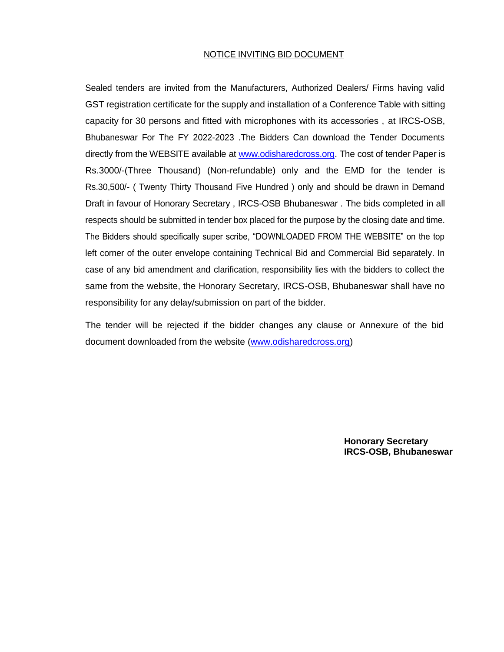#### NOTICE INVITING BID DOCUMENT

Sealed tenders are invited from the Manufacturers, Authorized Dealers/ Firms having valid GST registration certificate for the supply and installation of a Conference Table with sitting capacity for 30 persons and fitted with microphones with its accessories , at IRCS-OSB, Bhubaneswar For The FY 2022-2023 .The Bidders Can download the Tender Documents directly from the WEBSITE available a[t www.odisharedcross.org.](http://www.odisharedcross.org/) The cost of tender Paper is Rs.3000/-(Three Thousand) (Non-refundable) only and the EMD for the tender is Rs.30,500/- ( Twenty Thirty Thousand Five Hundred ) only and should be drawn in Demand Draft in favour of Honorary Secretary , IRCS-OSB Bhubaneswar . The bids completed in all respects should be submitted in tender box placed for the purpose by the closing date and time. The Bidders should specifically super scribe, "DOWNLOADED FROM THE WEBSITE" on the top left corner of the outer envelope containing Technical Bid and Commercial Bid separately. In case of any bid amendment and clarification, responsibility lies with the bidders to collect the same from the website, the Honorary Secretary, IRCS-OSB, Bhubaneswar shall have no responsibility for any delay/submission on part of the bidder.

The tender will be rejected if the bidder changes any clause or Annexure of the bid document downloaded from the website (www.odisharedcross.org)

> **Honorary Secretary IRCS-OSB, Bhubaneswar**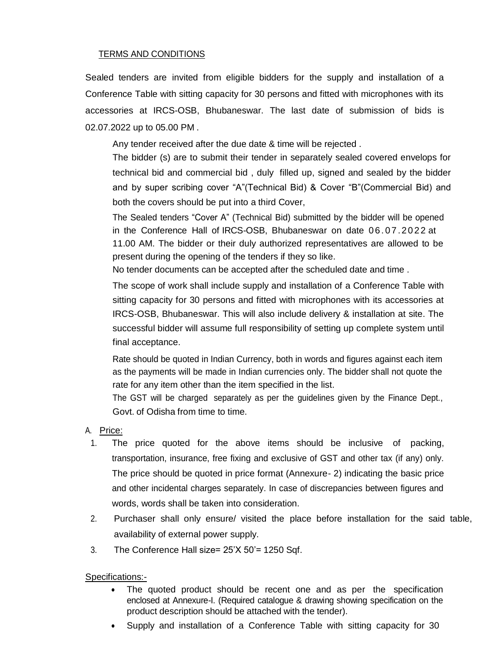#### TERMS AND CONDITIONS

Sealed tenders are invited from eligible bidders for the supply and installation of a Conference Table with sitting capacity for 30 persons and fitted with microphones with its accessories at IRCS-OSB, Bhubaneswar. The last date of submission of bids is 02.07.2022 up to 05.00 PM .

Any tender received after the due date & time will be rejected .

The bidder (s) are to submit their tender in separately sealed covered envelops for technical bid and commercial bid , duly filled up, signed and sealed by the bidder and by super scribing cover "A"(Technical Bid) & Cover "B"(Commercial Bid) and both the covers should be put into a third Cover,

The Sealed tenders "Cover A" (Technical Bid) submitted by the bidder will be opened in the Conference Hall of IRCS-OSB, Bhubaneswar on date 06.07.2022 at 11.00 AM. The bidder or their duly authorized representatives are allowed to be present during the opening of the tenders if they so like.

No tender documents can be accepted after the scheduled date and time .

The scope of work shall include supply and installation of a Conference Table with sitting capacity for 30 persons and fitted with microphones with its accessories at IRCS-OSB, Bhubaneswar. This will also include delivery & installation at site. The successful bidder will assume full responsibility of setting up complete system until final acceptance.

Rate should be quoted in Indian Currency, both in words and figures against each item as the payments will be made in Indian currencies only. The bidder shall not quote the rate for any item other than the item specified in the list.

The GST will be charged separately as per the guidelines given by the Finance Dept., Govt. of Odisha from time to time.

- A. Price:
- 1. The price quoted for the above items should be inclusive of packing, transportation, insurance, free fixing and exclusive of GST and other tax (if any) only. The price should be quoted in price format (Annexure- 2) indicating the basic price and other incidental charges separately. In case of discrepancies between figures and words, words shall be taken into consideration.
- 2. Purchaser shall only ensure/ visited the place before installation for the said table, availability of external power supply.
- 3. The Conference Hall size= 25'X 50'= 1250 Sqf.

Specifications:-

- The quoted product should be recent one and as per the specification enclosed at Annexure-I. (Required catalogue & drawing showing specification on the product description should be attached with the tender).
- Supply and installation of a Conference Table with sitting capacity for 30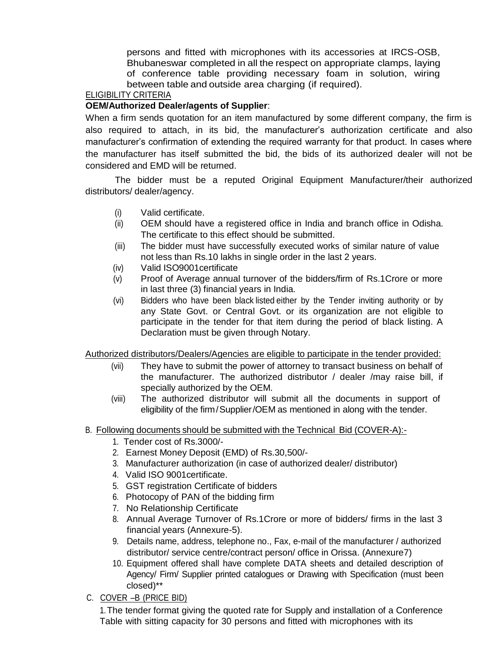persons and fitted with microphones with its accessories at IRCS-OSB, Bhubaneswar completed in all the respect on appropriate clamps, laying of conference table providing necessary foam in solution, wiring between table and outside area charging (if required).

### ELIGIBILITY CRITERIA

#### **OEM/Authorized Dealer/agents of Supplier**:

When a firm sends quotation for an item manufactured by some different company, the firm is also required to attach, in its bid, the manufacturer's authorization certificate and also manufacturer's confirmation of extending the required warranty for that product. In cases where the manufacturer has itself submitted the bid, the bids of its authorized dealer will not be considered and EMD will be returned.

The bidder must be a reputed Original Equipment Manufacturer/their authorized distributors/ dealer/agency.

- (i) Valid certificate.
- (ii) OEM should have a registered office in India and branch office in Odisha. The certificate to this effect should be submitted.
- (iii) The bidder must have successfully executed works of similar nature of value not less than Rs.10 lakhs in single order in the last 2 years.
- (iv) Valid ISO9001certificate
- (v) Proof of Average annual turnover of the bidders/firm of Rs.1Crore or more in last three (3) financial years in India.
- (vi) Bidders who have been black listed either by the Tender inviting authority or by any State Govt. or Central Govt. or its organization are not eligible to participate in the tender for that item during the period of black listing. A Declaration must be given through Notary.

Authorized distributors/Dealers/Agencies are eligible to participate in the tender provided:

- (vii) They have to submit the power of attorney to transact business on behalf of the manufacturer. The authorized distributor / dealer /may raise bill, if specially authorized by the OEM.
- (viii) The authorized distributor will submit all the documents in support of eligibility of the firm/Supplier/OEM as mentioned in along with the tender.
- B. Following documents should be submitted with the Technical Bid (COVER-A):-
	- 1. Tender cost of Rs.3000/-
	- 2. Earnest Money Deposit (EMD) of Rs.30,500/-
	- 3. Manufacturer authorization (in case of authorized dealer/ distributor)
	- 4. Valid ISO 9001certificate.
	- 5. GST registration Certificate of bidders
	- 6. Photocopy of PAN of the bidding firm
	- 7. No Relationship Certificate
	- 8. Annual Average Turnover of Rs.1Crore or more of bidders/ firms in the last 3 financial years (Annexure-5).
	- 9. Details name, address, telephone no., Fax, e-mail of the manufacturer / authorized distributor/ service centre/contract person/ office in Orissa. (Annexure7)
	- 10. Equipment offered shall have complete DATA sheets and detailed description of Agency/ Firm/ Supplier printed catalogues or Drawing with Specification (must been closed)\*\*
- C. COVER –B (PRICE BID)

1.The tender format giving the quoted rate for Supply and installation of a Conference Table with sitting capacity for 30 persons and fitted with microphones with its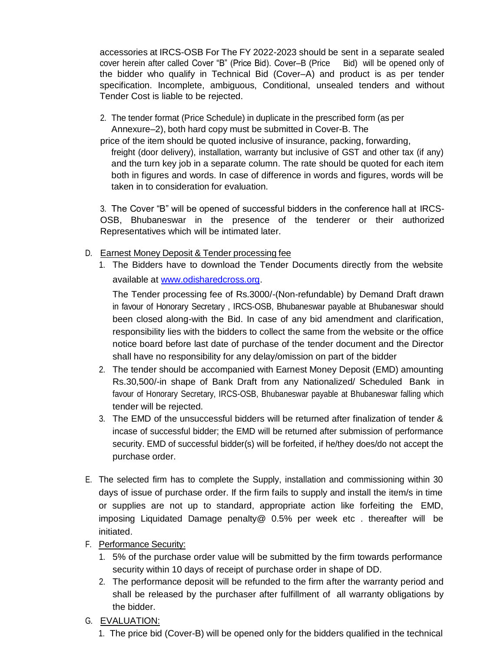accessories at IRCS-OSB For The FY 2022-2023 should be sent in a separate sealed cover herein after called Cover "B" (Price Bid). Cover–B (Price Bid) will be opened only of the bidder who qualify in Technical Bid (Cover–A) and product is as per tender specification. Incomplete, ambiguous, Conditional, unsealed tenders and without Tender Cost is liable to be rejected.

2. The tender format (Price Schedule) in duplicate in the prescribed form (as per Annexure–2), both hard copy must be submitted in Cover-B. The

price of the item should be quoted inclusive of insurance, packing, forwarding, freight (door delivery), installation, warranty but inclusive of GST and other tax (if any) and the turn key job in a separate column. The rate should be quoted for each item both in figures and words. In case of difference in words and figures, words will be taken in to consideration for evaluation.

3. The Cover "B" will be opened of successful bidders in the conference hall at IRCS-OSB, Bhubaneswar in the presence of the tenderer or their authorized Representatives which will be intimated later.

- D. Earnest Money Deposit & Tender processing fee
	- 1. The Bidders have to download the Tender Documents directly from the website available at [www.odisharedcross.org.](http://www.odisharedcross.org/)

The Tender processing fee of Rs.3000/-(Non-refundable) by Demand Draft drawn in favour of Honorary Secretary , IRCS-OSB, Bhubaneswar payable at Bhubaneswar should been closed along-with the Bid. In case of any bid amendment and clarification, responsibility lies with the bidders to collect the same from the website or the office notice board before last date of purchase of the tender document and the Director shall have no responsibility for any delay/omission on part of the bidder

- 2. The tender should be accompanied with Earnest Money Deposit (EMD) amounting Rs.30,500/-in shape of Bank Draft from any Nationalized/ Scheduled Bank in favour of Honorary Secretary, IRCS-OSB, Bhubaneswar payable at Bhubaneswar falling which tender will be rejected.
- 3. The EMD of the unsuccessful bidders will be returned after finalization of tender & incase of successful bidder; the EMD will be returned after submission of performance security. EMD of successful bidder(s) will be forfeited, if he/they does/do not accept the purchase order.
- E. The selected firm has to complete the Supply, installation and commissioning within 30 days of issue of purchase order. If the firm fails to supply and install the item/s in time or supplies are not up to standard, appropriate action like forfeiting the EMD, imposing Liquidated Damage penalty@ 0.5% per week etc . thereafter will be initiated.
- F. Performance Security:
	- 1. 5% of the purchase order value will be submitted by the firm towards performance security within 10 days of receipt of purchase order in shape of DD.
	- 2. The performance deposit will be refunded to the firm after the warranty period and shall be released by the purchaser after fulfillment of all warranty obligations by the bidder.
- G. EVALUATION:

1. The price bid (Cover-B) will be opened only for the bidders qualified in the technical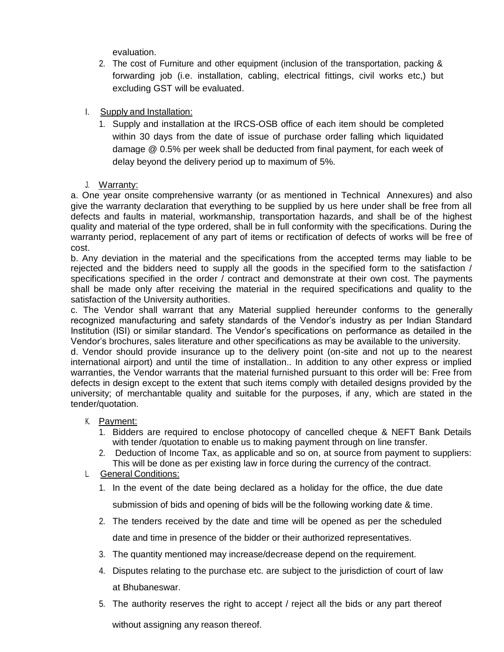evaluation.

- 2. The cost of Furniture and other equipment (inclusion of the transportation, packing & forwarding job (i.e. installation, cabling, electrical fittings, civil works etc,) but excluding GST will be evaluated.
- I. Supply and Installation:
	- 1. Supply and installation at the IRCS-OSB office of each item should be completed within 30 days from the date of issue of purchase order falling which liquidated damage @ 0.5% per week shall be deducted from final payment, for each week of delay beyond the delivery period up to maximum of 5%.
- J. Warranty:

a. One year onsite comprehensive warranty (or as mentioned in Technical Annexures) and also give the warranty declaration that everything to be supplied by us here under shall be free from all defects and faults in material, workmanship, transportation hazards, and shall be of the highest quality and material of the type ordered, shall be in full conformity with the specifications. During the warranty period, replacement of any part of items or rectification of defects of works will be free of cost.

b. Any deviation in the material and the specifications from the accepted terms may liable to be rejected and the bidders need to supply all the goods in the specified form to the satisfaction / specifications specified in the order / contract and demonstrate at their own cost. The payments shall be made only after receiving the material in the required specifications and quality to the satisfaction of the University authorities.

c. The Vendor shall warrant that any Material supplied hereunder conforms to the generally recognized manufacturing and safety standards of the Vendor's industry as per Indian Standard Institution (ISI) or similar standard. The Vendor's specifications on performance as detailed in the Vendor's brochures, sales literature and other specifications as may be available to the university.

d. Vendor should provide insurance up to the delivery point (on-site and not up to the nearest international airport) and until the time of installation.. In addition to any other express or implied warranties, the Vendor warrants that the material furnished pursuant to this order will be: Free from defects in design except to the extent that such items comply with detailed designs provided by the university; of merchantable quality and suitable for the purposes, if any, which are stated in the tender/quotation.

### K. Payment:

- 1. Bidders are required to enclose photocopy of cancelled cheque & NEFT Bank Details with tender /quotation to enable us to making payment through on line transfer.
- 2. Deduction of Income Tax, as applicable and so on, at source from payment to suppliers: This will be done as per existing law in force during the currency of the contract.

#### L. General Conditions:

- 1. In the event of the date being declared as a holiday for the office, the due date submission of bids and opening of bids will be the following working date & time.
- 2. The tenders received by the date and time will be opened as per the scheduled date and time in presence of the bidder or their authorized representatives.
- 3. The quantity mentioned may increase/decrease depend on the requirement.
- 4. Disputes relating to the purchase etc. are subject to the jurisdiction of court of law at Bhubaneswar.
- 5. The authority reserves the right to accept / reject all the bids or any part thereof

without assigning any reason thereof.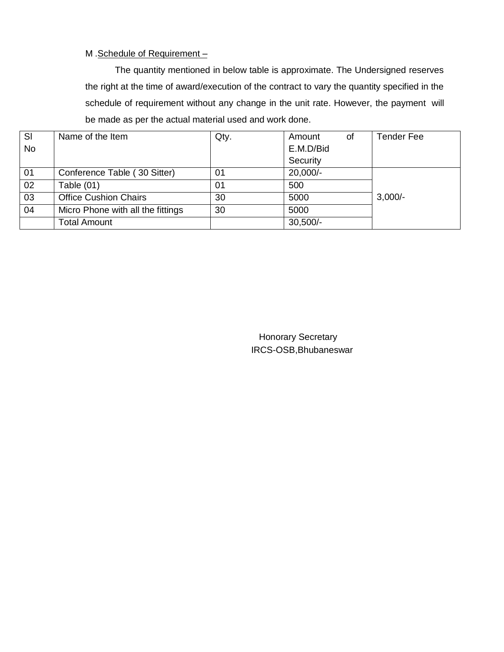#### M .Schedule of Requirement –

The quantity mentioned in below table is approximate. The Undersigned reserves the right at the time of award/execution of the contract to vary the quantity specified in the schedule of requirement without any change in the unit rate. However, the payment will be made as per the actual material used and work done.

| SI        | Name of the Item                  | Qty. | Amount<br>0f | <b>Tender Fee</b> |
|-----------|-----------------------------------|------|--------------|-------------------|
| <b>No</b> |                                   |      | E.M.D/Bid    |                   |
|           |                                   |      | Security     |                   |
| 01        | Conference Table (30 Sitter)      | 01   | 20,000/-     |                   |
| 02        | Table $(01)$                      | 01   | 500          |                   |
| 03        | <b>Office Cushion Chairs</b>      | 30   | 5000         | $3,000/-$         |
| 04        | Micro Phone with all the fittings | 30   | 5000         |                   |
|           | <b>Total Amount</b>               |      | $30,500/-$   |                   |

 Honorary Secretary IRCS-OSB,Bhubaneswar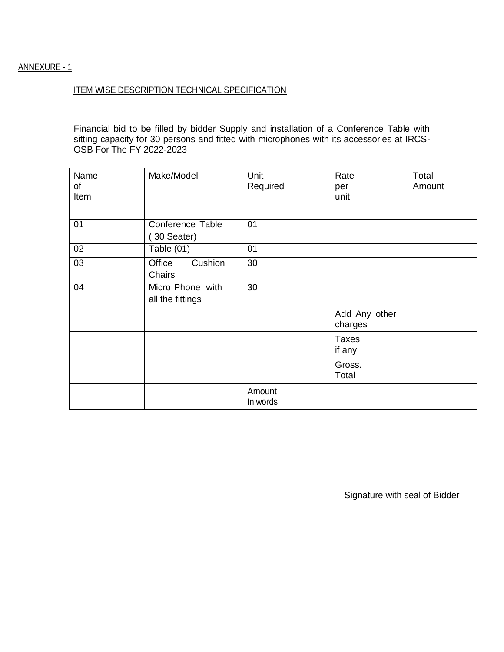### ANNEXURE - 1

#### ITEM WISE DESCRIPTION TECHNICAL SPECIFICATION

Financial bid to be filled by bidder Supply and installation of a Conference Table with sitting capacity for 30 persons and fitted with microphones with its accessories at IRCS-OSB For The FY 2022-2023

| Name<br>of<br>Item | Make/Model                           | Unit<br>Required   | Rate<br>per<br>unit      | Total<br>Amount |
|--------------------|--------------------------------------|--------------------|--------------------------|-----------------|
| 01                 | Conference Table<br>30 Seater)       | 01                 |                          |                 |
| 02                 | Table $(01)$                         | 01                 |                          |                 |
| 03                 | Cushion<br>Office<br>Chairs          | 30                 |                          |                 |
| 04                 | Micro Phone with<br>all the fittings | 30                 |                          |                 |
|                    |                                      |                    | Add Any other<br>charges |                 |
|                    |                                      |                    | <b>Taxes</b><br>if any   |                 |
|                    |                                      |                    | Gross.<br>Total          |                 |
|                    |                                      | Amount<br>In words |                          |                 |

Signature with seal of Bidder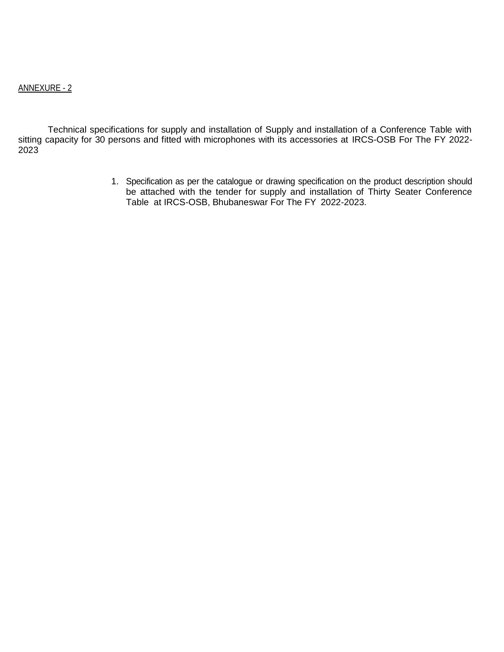#### ANNEXURE - 2

Technical specifications for supply and installation of Supply and installation of a Conference Table with sitting capacity for 30 persons and fitted with microphones with its accessories at IRCS-OSB For The FY 2022- 2023

> 1. Specification as per the catalogue or drawing specification on the product description should be attached with the tender for supply and installation of Thirty Seater Conference Table at IRCS-OSB, Bhubaneswar For The FY 2022-2023.